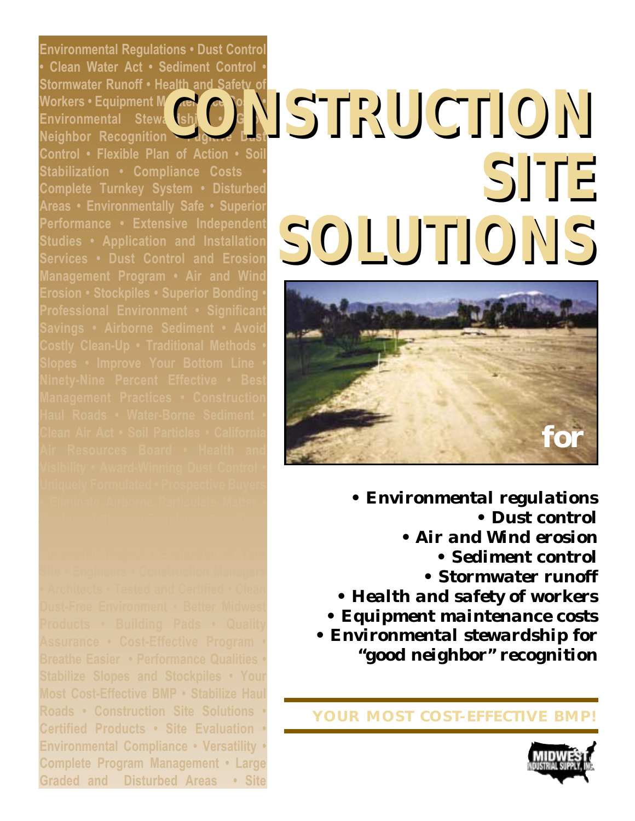# *CONSTRUCTION CONSTRUCTION SITE SITE SOLUTIONS SOLUTIONS*



*• Environmental regulations • Dust control • Air and Wind erosion • Sediment control • Stormwater runoff • Health and safety of workers • Equipment maintenance costs • Environmental stewardship for "good neighbor" recognition*

*YOUR MOST COST-EFFECTIVE BMP!*



**• Clean Water Act • Sediment Control • Stormwater Runoff • Health and Safety of Workers • Equipment Ma** Environmental Stew**a Neighbor Recognition Control • Flexible Plan of Action • Soil Stabilization • Compliance Costs • Complete Turnkey System • Disturbed Areas • Environmentally Safe • Superior Performance • Extensive Independent Studies • Application and Installation Services • Dust Control and Erosion Erosion • Stockpiles • Superior Bonding •**

**Environmental Regulations • Dust Control**

**Stabilize Slopes and Stockpiles • Your Most Cost-Effective BMP • Stabilize Haul Roads • Construction Site Solutions • Certified Products • Site Evaluation • Environmental Compliance • Versatility • Complete Program Management • Large Graded and Disturbed Areas • Site**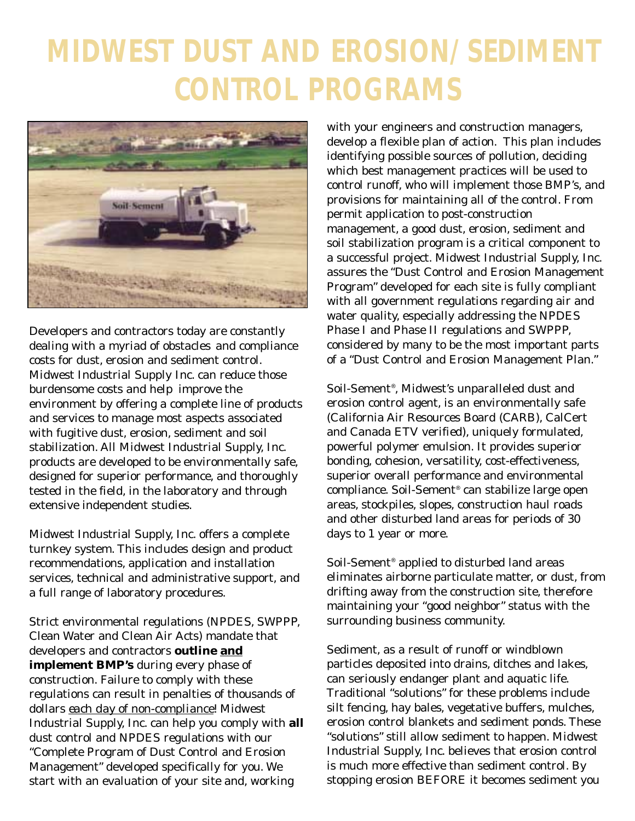# *MIDWEST DUST AND EROSION/SEDIMENT CONTROL PROGRAMS*



Developers and contractors today are constantly dealing with a myriad of obstacles and compliance costs for dust, erosion and sediment control. Midwest Industrial Supply Inc. can reduce those burdensome costs and help improve the environment by offering a complete line of products and services to manage most aspects associated with fugitive dust, erosion, sediment and soil stabilization. All Midwest Industrial Supply, Inc. products are developed to be environmentally safe, designed for superior performance, and thoroughly tested in the field, in the laboratory and through extensive independent studies.

Midwest Industrial Supply, Inc. offers a complete turnkey system. This includes design and product recommendations, application and installation services, technical and administrative support, and a full range of laboratory procedures.

Strict environmental regulations (NPDES, SWPPP, Clean Water and Clean Air Acts) mandate that developers and contractors **outline and implement BMP's** during every phase of construction. Failure to comply with these regulations can result in penalties of thousands of dollars *each day of non-compliance*! Midwest Industrial Supply, Inc. can help you comply with **all** dust control and NPDES regulations with our "Complete Program of Dust Control and Erosion Management" developed specifically for you. We start with an evaluation of your site and, working

with your engineers and construction managers, develop a flexible plan of action. This plan includes identifying possible sources of pollution, deciding which best management practices will be used to control runoff, who will implement those BMP's, and provisions for maintaining all of the control. From permit application to post-construction management, a good dust, erosion, sediment and soil stabilization program is a critical component to a successful project. Midwest Industrial Supply, Inc. assures the "Dust Control and Erosion Management Program" developed for each site is fully compliant with all government regulations regarding air and water quality, especially addressing the NPDES Phase I and Phase II regulations and SWPPP, considered by many to be the most important parts of a "Dust Control and Erosion Management Plan."

Soil-Sement®, Midwest's unparalleled dust and erosion control agent, is an environmentally safe (California Air Resources Board (CARB), CalCert and Canada ETV verified), uniquely formulated, powerful polymer emulsion. It provides superior bonding, cohesion, versatility, cost-effectiveness, superior overall performance and environmental compliance. Soil-Sement® can stabilize large open areas, stockpiles, slopes, construction haul roads and other disturbed land areas for periods of 30 days to 1 year or more.

Soil-Sement® applied to disturbed land areas eliminates airborne particulate matter, or dust, from drifting away from the construction site, therefore maintaining your "good neighbor" status with the surrounding business community.

Sediment, as a result of runoff or windblown particles deposited into drains, ditches and lakes, can seriously endanger plant and aquatic life. Traditional "solutions" for these problems include silt fencing, hay bales, vegetative buffers, mulches, erosion control blankets and sediment ponds. These "solutions" still allow sediment to happen. Midwest Industrial Supply, Inc. believes that erosion control is much more effective than sediment control. By stopping erosion BEFORE it becomes sediment you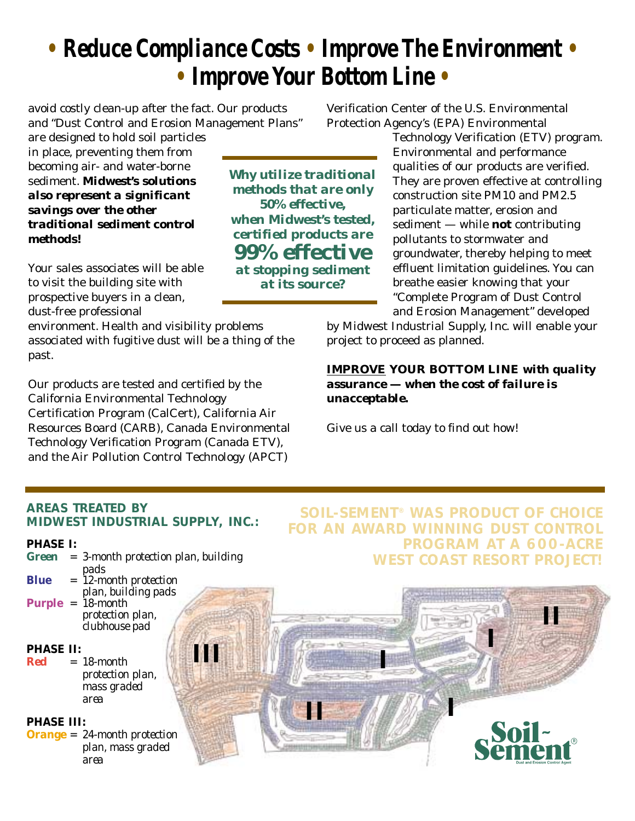# *• Reduce Compliance Costs • Improve The Environment • • Improve Your Bottom Line •*

avoid costly clean-up after the fact. Our products and "Dust Control and Erosion Management Plans" are designed to hold soil particles

in place, preventing them from becoming air- and water-borne sediment. *Midwest's solutions also represent a significant savings over the other traditional sediment control methods!*

Your sales associates will be able to visit the building site with prospective buyers in a clean, dust-free professional

environment. Health and visibility problems associated with fugitive dust will be a thing of the past.

Our products are tested and certified by the California Environmental Technology Certification Program (CalCert), California Air Resources Board (CARB), Canada Environmental Technology Verification Program (Canada ETV), and the Air Pollution Control Technology (APCT)

*Why utilize traditional methods that are only 50% effective, when Midwest's tested, certified products are 99% effective at stopping sediment at its source?*

Verification Center of the U.S. Environmental Protection Agency's (EPA) Environmental

> Technology Verification (ETV) program. Environmental and performance qualities of our products are verified. They are proven effective at controlling construction site PM10 and PM2.5 particulate matter, erosion and sediment — while **not** contributing pollutants to stormwater and groundwater, thereby helping to meet effluent limitation guidelines. You can breathe easier knowing that your "Complete Program of Dust Control and Erosion Management" developed

by Midwest Industrial Supply, Inc. will enable your project to proceed as planned.

#### *IMPROVE YOUR BOTTOM LINE with quality assurance — when the cost of failure is unacceptable.*

Give us a call today to find out how!

#### **AREAS TREATED BY MIDWEST INDUSTRIAL SUPPLY, INC.:**

#### *PHASE I:*

- *Green = 3-month protection plan, building pads*
- *Blue = 12-month protection plan, building pads*
- *Purple = 18-month protection plan, clubhouse pad*

#### *PHASE II:*

*Red = 18-month protection plan, mass graded area*

#### *PHASE III:*

*Orange = 24-month protection plan, mass graded area*